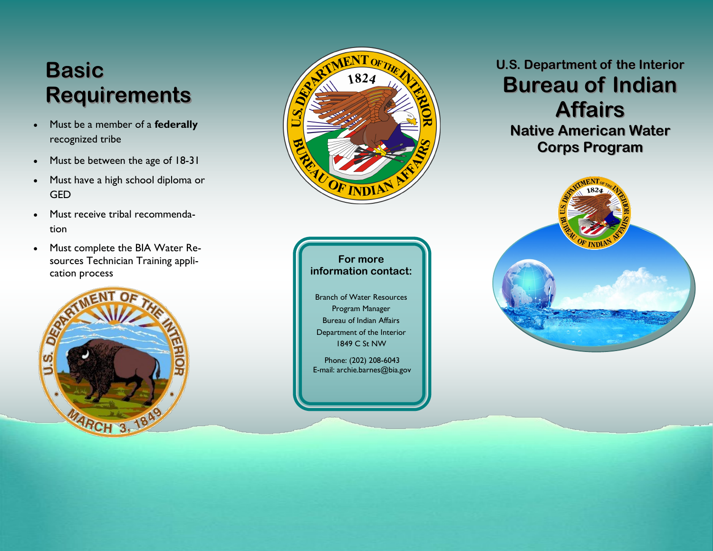# **Basic Requirements**

- Must be a member of a **federally**  recognized tribe
- Must be between the age of 18-31
- Must have a high school diploma or **GED**
- Must receive tribal recommendation
- Must complete the BIA Water Resources Technician Training application process







Branch of Water Resources Program Manager Bureau of Indian Affairs Department of the Interior 1849 C St NW

Phone: (202) 208-6043 E-mail: archie.barnes@bia.gov

### **U.S. Department of the Interior Bureau of Indian Affairs**

**Native American Water Corps Program**